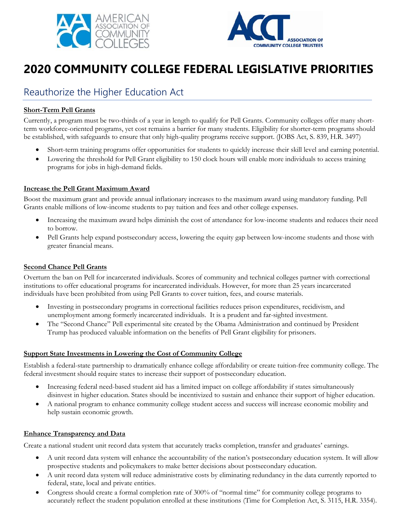



# **2020 COMMUNITY COLLEGE FEDERAL LEGISLATIVE PRIORITIES**

## Reauthorize the Higher Education Act

#### **Short-Term Pell Grants**

Currently, a program must be two-thirds of a year in length to qualify for Pell Grants. Community colleges offer many shortterm workforce-oriented programs, yet cost remains a barrier for many students. Eligibility for shorter-term programs should be established, with safeguards to ensure that only high-quality programs receive support. (JOBS Act, S. 839, H.R. 3497)

- Short-term training programs offer opportunities for students to quickly increase their skill level and earning potential.
- Lowering the threshold for Pell Grant eligibility to 150 clock hours will enable more individuals to access training programs for jobs in high-demand fields.

#### **Increase the Pell Grant Maximum Award**

Boost the maximum grant and provide annual inflationary increases to the maximum award using mandatory funding. Pell Grants enable millions of low-income students to pay tuition and fees and other college expenses.

- Increasing the maximum award helps diminish the cost of attendance for low-income students and reduces their need to borrow.
- Pell Grants help expand postsecondary access, lowering the equity gap between low-income students and those with greater financial means.

#### **Second Chance Pell Grants**

Overturn the ban on Pell for incarcerated individuals. Scores of community and technical colleges partner with correctional institutions to offer educational programs for incarcerated individuals. However, for more than 25 years incarcerated individuals have been prohibited from using Pell Grants to cover tuition, fees, and course materials.

- Investing in postsecondary programs in correctional facilities reduces prison expenditures, recidivism, and unemployment among formerly incarcerated individuals. It is a prudent and far-sighted investment.
- The "Second Chance" Pell experimental site created by the Obama Administration and continued by President Trump has produced valuable information on the benefits of Pell Grant eligibility for prisoners.

#### **Support State Investments in Lowering the Cost of Community College**

Establish a federal-state partnership to dramatically enhance college affordability or create tuition-free community college. The federal investment should require states to increase their support of postsecondary education.

- Increasing federal need-based student aid has a limited impact on college affordability if states simultaneously disinvest in higher education. States should be incentivized to sustain and enhance their support of higher education.
- A national program to enhance community college student access and success will increase economic mobility and help sustain economic growth.

#### **Enhance Transparency and Data**

Create a national student unit record data system that accurately tracks completion, transfer and graduates' earnings.

- A unit record data system will enhance the accountability of the nation's postsecondary education system. It will allow prospective students and policymakers to make better decisions about postsecondary education.
- A unit record data system will reduce administrative costs by eliminating redundancy in the data currently reported to federal, state, local and private entities.
- Congress should create a formal completion rate of 300% of "normal time" for community college programs to accurately reflect the student population enrolled at these institutions (Time for Completion Act, S. 3115, H.R. 3354).